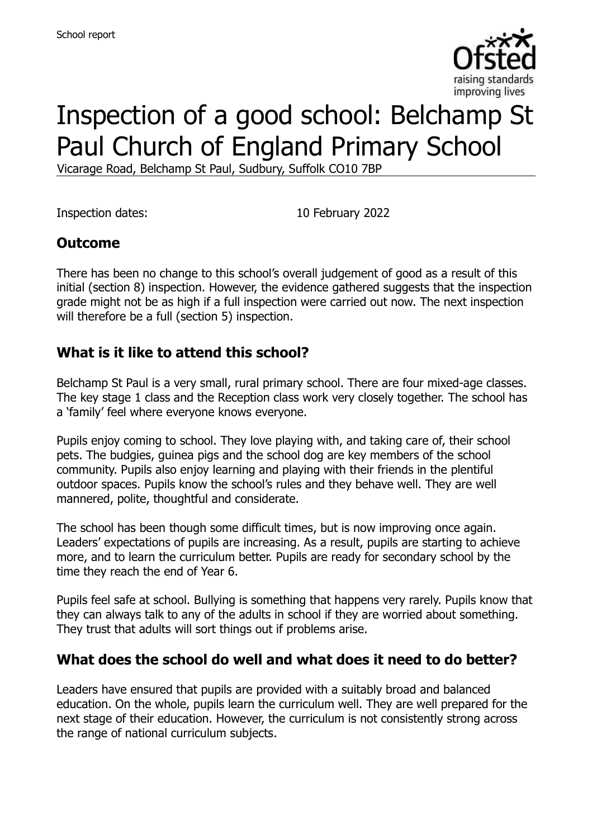

# Inspection of a good school: Belchamp St Paul Church of England Primary School

Vicarage Road, Belchamp St Paul, Sudbury, Suffolk CO10 7BP

Inspection dates: 10 February 2022

#### **Outcome**

There has been no change to this school's overall judgement of good as a result of this initial (section 8) inspection. However, the evidence gathered suggests that the inspection grade might not be as high if a full inspection were carried out now. The next inspection will therefore be a full (section 5) inspection.

#### **What is it like to attend this school?**

Belchamp St Paul is a very small, rural primary school. There are four mixed-age classes. The key stage 1 class and the Reception class work very closely together. The school has a 'family' feel where everyone knows everyone.

Pupils enjoy coming to school. They love playing with, and taking care of, their school pets. The budgies, guinea pigs and the school dog are key members of the school community. Pupils also enjoy learning and playing with their friends in the plentiful outdoor spaces. Pupils know the school's rules and they behave well. They are well mannered, polite, thoughtful and considerate.

The school has been though some difficult times, but is now improving once again. Leaders' expectations of pupils are increasing. As a result, pupils are starting to achieve more, and to learn the curriculum better. Pupils are ready for secondary school by the time they reach the end of Year 6.

Pupils feel safe at school. Bullying is something that happens very rarely. Pupils know that they can always talk to any of the adults in school if they are worried about something. They trust that adults will sort things out if problems arise.

#### **What does the school do well and what does it need to do better?**

Leaders have ensured that pupils are provided with a suitably broad and balanced education. On the whole, pupils learn the curriculum well. They are well prepared for the next stage of their education. However, the curriculum is not consistently strong across the range of national curriculum subjects.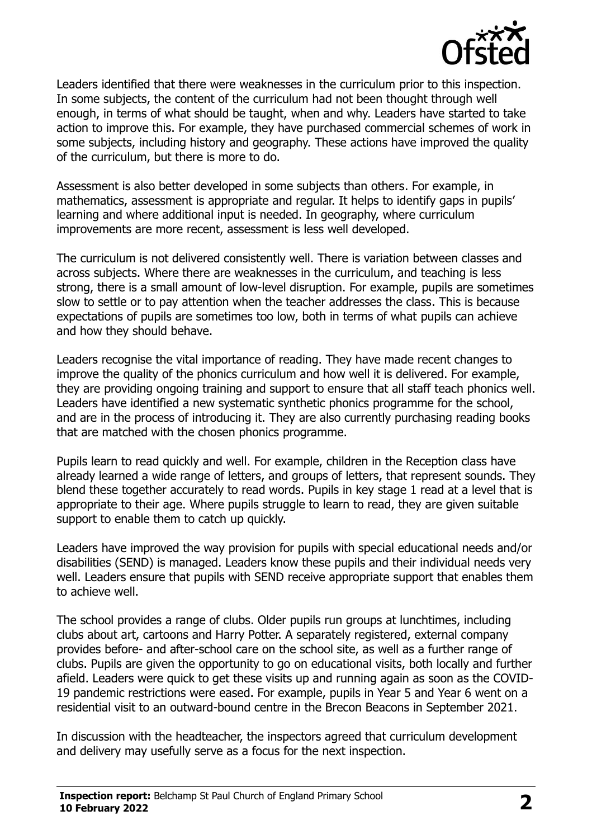

Leaders identified that there were weaknesses in the curriculum prior to this inspection. In some subjects, the content of the curriculum had not been thought through well enough, in terms of what should be taught, when and why. Leaders have started to take action to improve this. For example, they have purchased commercial schemes of work in some subjects, including history and geography. These actions have improved the quality of the curriculum, but there is more to do.

Assessment is also better developed in some subjects than others. For example, in mathematics, assessment is appropriate and regular. It helps to identify gaps in pupils' learning and where additional input is needed. In geography, where curriculum improvements are more recent, assessment is less well developed.

The curriculum is not delivered consistently well. There is variation between classes and across subjects. Where there are weaknesses in the curriculum, and teaching is less strong, there is a small amount of low-level disruption. For example, pupils are sometimes slow to settle or to pay attention when the teacher addresses the class. This is because expectations of pupils are sometimes too low, both in terms of what pupils can achieve and how they should behave.

Leaders recognise the vital importance of reading. They have made recent changes to improve the quality of the phonics curriculum and how well it is delivered. For example, they are providing ongoing training and support to ensure that all staff teach phonics well. Leaders have identified a new systematic synthetic phonics programme for the school, and are in the process of introducing it. They are also currently purchasing reading books that are matched with the chosen phonics programme.

Pupils learn to read quickly and well. For example, children in the Reception class have already learned a wide range of letters, and groups of letters, that represent sounds. They blend these together accurately to read words. Pupils in key stage 1 read at a level that is appropriate to their age. Where pupils struggle to learn to read, they are given suitable support to enable them to catch up quickly.

Leaders have improved the way provision for pupils with special educational needs and/or disabilities (SEND) is managed. Leaders know these pupils and their individual needs very well. Leaders ensure that pupils with SEND receive appropriate support that enables them to achieve well.

The school provides a range of clubs. Older pupils run groups at lunchtimes, including clubs about art, cartoons and Harry Potter. A separately registered, external company provides before- and after-school care on the school site, as well as a further range of clubs. Pupils are given the opportunity to go on educational visits, both locally and further afield. Leaders were quick to get these visits up and running again as soon as the COVID-19 pandemic restrictions were eased. For example, pupils in Year 5 and Year 6 went on a residential visit to an outward-bound centre in the Brecon Beacons in September 2021.

In discussion with the headteacher, the inspectors agreed that curriculum development and delivery may usefully serve as a focus for the next inspection.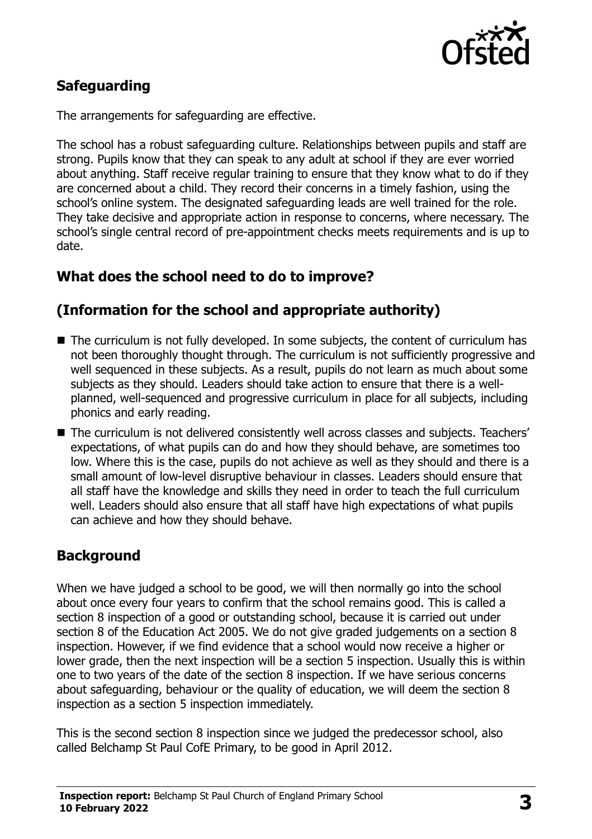

# **Safeguarding**

The arrangements for safeguarding are effective.

The school has a robust safeguarding culture. Relationships between pupils and staff are strong. Pupils know that they can speak to any adult at school if they are ever worried about anything. Staff receive regular training to ensure that they know what to do if they are concerned about a child. They record their concerns in a timely fashion, using the school's online system. The designated safeguarding leads are well trained for the role. They take decisive and appropriate action in response to concerns, where necessary. The school's single central record of pre-appointment checks meets requirements and is up to date.

# **What does the school need to do to improve?**

# **(Information for the school and appropriate authority)**

- The curriculum is not fully developed. In some subjects, the content of curriculum has not been thoroughly thought through. The curriculum is not sufficiently progressive and well sequenced in these subjects. As a result, pupils do not learn as much about some subjects as they should. Leaders should take action to ensure that there is a wellplanned, well-sequenced and progressive curriculum in place for all subjects, including phonics and early reading.
- The curriculum is not delivered consistently well across classes and subjects. Teachers' expectations, of what pupils can do and how they should behave, are sometimes too low. Where this is the case, pupils do not achieve as well as they should and there is a small amount of low-level disruptive behaviour in classes. Leaders should ensure that all staff have the knowledge and skills they need in order to teach the full curriculum well. Leaders should also ensure that all staff have high expectations of what pupils can achieve and how they should behave.

# **Background**

When we have judged a school to be good, we will then normally go into the school about once every four years to confirm that the school remains good. This is called a section 8 inspection of a good or outstanding school, because it is carried out under section 8 of the Education Act 2005. We do not give graded judgements on a section 8 inspection. However, if we find evidence that a school would now receive a higher or lower grade, then the next inspection will be a section 5 inspection. Usually this is within one to two years of the date of the section 8 inspection. If we have serious concerns about safeguarding, behaviour or the quality of education, we will deem the section 8 inspection as a section 5 inspection immediately.

This is the second section 8 inspection since we judged the predecessor school, also called Belchamp St Paul CofE Primary, to be good in April 2012.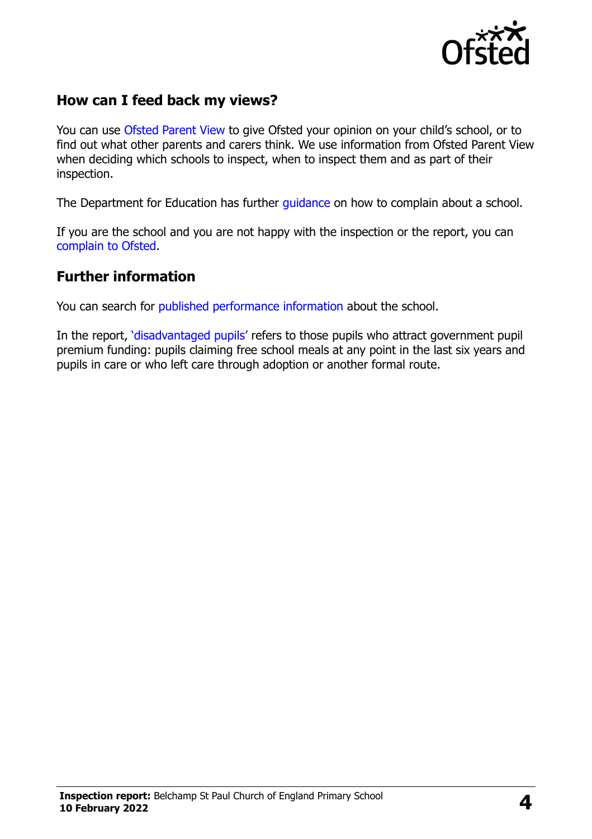

#### **How can I feed back my views?**

You can use [Ofsted Parent View](https://parentview.ofsted.gov.uk/) to give Ofsted your opinion on your child's school, or to find out what other parents and carers think. We use information from Ofsted Parent View when deciding which schools to inspect, when to inspect them and as part of their inspection.

The Department for Education has further quidance on how to complain about a school.

If you are the school and you are not happy with the inspection or the report, you can [complain to Ofsted.](https://www.gov.uk/complain-ofsted-report)

#### **Further information**

You can search for [published performance information](http://www.compare-school-performance.service.gov.uk/) about the school.

In the report, '[disadvantaged pupils](http://www.gov.uk/guidance/pupil-premium-information-for-schools-and-alternative-provision-settings)' refers to those pupils who attract government pupil premium funding: pupils claiming free school meals at any point in the last six years and pupils in care or who left care through adoption or another formal route.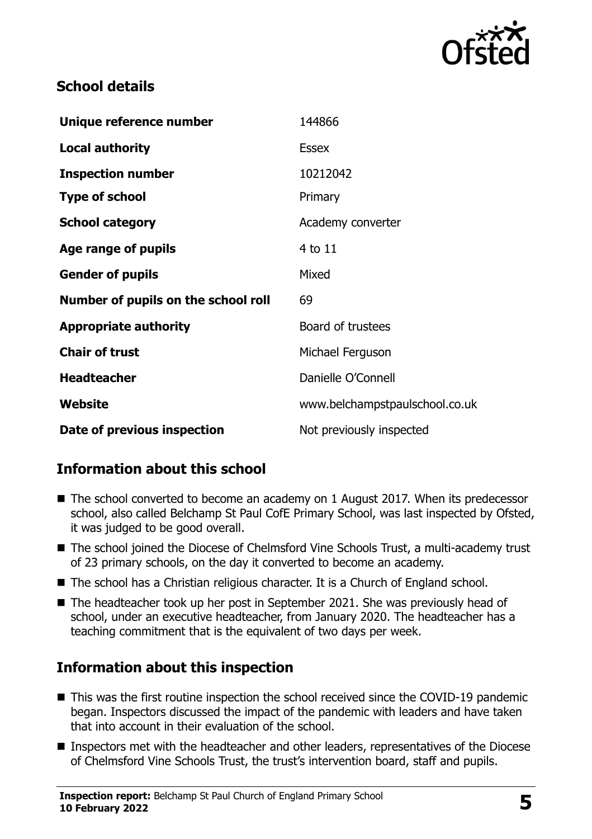

#### **School details**

| Unique reference number             | 144866                         |
|-------------------------------------|--------------------------------|
| <b>Local authority</b>              | <b>Essex</b>                   |
| <b>Inspection number</b>            | 10212042                       |
| <b>Type of school</b>               | Primary                        |
| <b>School category</b>              | Academy converter              |
| Age range of pupils                 | 4 to 11                        |
| <b>Gender of pupils</b>             | Mixed                          |
| Number of pupils on the school roll | 69                             |
| <b>Appropriate authority</b>        | Board of trustees              |
| <b>Chair of trust</b>               | Michael Ferguson               |
| <b>Headteacher</b>                  | Danielle O'Connell             |
| Website                             | www.belchampstpaulschool.co.uk |
| Date of previous inspection         | Not previously inspected       |

# **Information about this school**

- The school converted to become an academy on 1 August 2017. When its predecessor school, also called Belchamp St Paul CofE Primary School, was last inspected by Ofsted, it was judged to be good overall.
- The school joined the Diocese of Chelmsford Vine Schools Trust, a multi-academy trust of 23 primary schools, on the day it converted to become an academy.
- The school has a Christian religious character. It is a Church of England school.
- The headteacher took up her post in September 2021. She was previously head of school, under an executive headteacher, from January 2020. The headteacher has a teaching commitment that is the equivalent of two days per week.

# **Information about this inspection**

- This was the first routine inspection the school received since the COVID-19 pandemic began. Inspectors discussed the impact of the pandemic with leaders and have taken that into account in their evaluation of the school.
- Inspectors met with the headteacher and other leaders, representatives of the Diocese of Chelmsford Vine Schools Trust, the trust's intervention board, staff and pupils.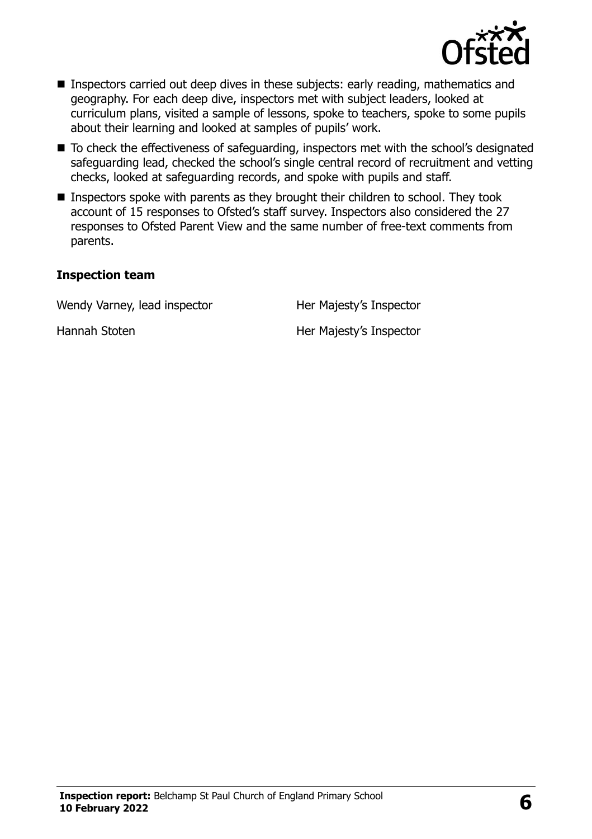

- Inspectors carried out deep dives in these subjects: early reading, mathematics and geography. For each deep dive, inspectors met with subject leaders, looked at curriculum plans, visited a sample of lessons, spoke to teachers, spoke to some pupils about their learning and looked at samples of pupils' work.
- To check the effectiveness of safeguarding, inspectors met with the school's designated safeguarding lead, checked the school's single central record of recruitment and vetting checks, looked at safeguarding records, and spoke with pupils and staff.
- Inspectors spoke with parents as they brought their children to school. They took account of 15 responses to Ofsted's staff survey. Inspectors also considered the 27 responses to Ofsted Parent View and the same number of free-text comments from parents.

#### **Inspection team**

Wendy Varney, lead inspector Her Majesty's Inspector

Hannah Stoten Her Majesty's Inspector